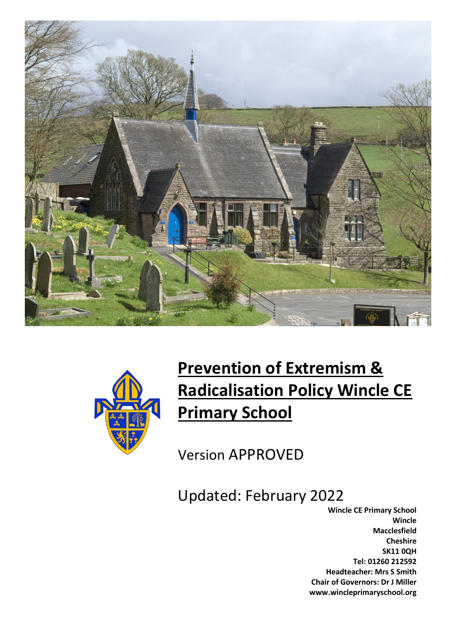



# **Prevention of Extremism & Radicalisation Policy Wincle CE Primary School**

Version APPROVED

Updated: February 2022

**Wincle CE Primary School Wincle Macclesfield Cheshire SK11 0QH Tel: 01260 212592 Headteacher: Mrs S Smith Chair of Governors: Dr J Miller www.wincleprimaryschool.org**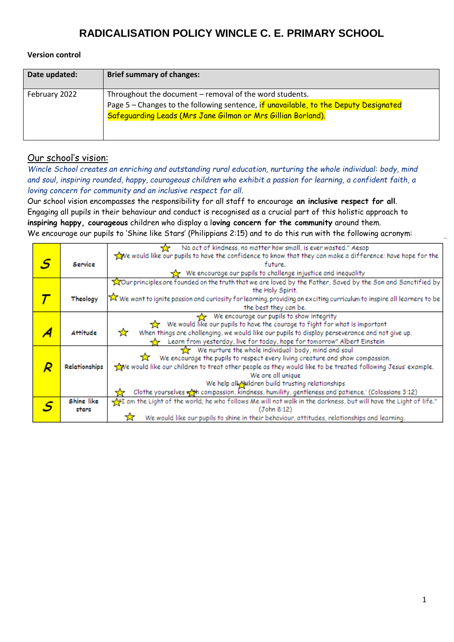#### **Version control**

| Date updated: | <b>Brief summary of changes:</b>                                                                                                                                                                                |
|---------------|-----------------------------------------------------------------------------------------------------------------------------------------------------------------------------------------------------------------|
| February 2022 | Throughout the document - removal of the word students.<br>Page 5 - Changes to the following sentence, if unavailable, to the Deputy Designated<br>Safeguarding Leads (Mrs Jane Gilman or Mrs Gillian Borland). |

### Our school's vision:

*Wincle School creates an enriching and outstanding rural education, nurturing the whole individual: body, mind and soul, inspiring rounded, happy, courageous children who exhibit a passion for learning, a confident faith, a loving concern for community and an inclusive respect for all.*

Our school vision encompasses the responsibility for all staff to encourage **an inclusive respect for all**. Engaging all pupils in their behaviour and conduct is recognised as a crucial part of this holistic approach to **inspiring happy, courageous** children who display a l**oving concern for the community** around them. We encourage our pupils to 'Shine like Stars' (Philippians 2:15) and to do this run with the following acronym:

|   |                                                      | No act of kindness, no matter how small, is ever wasted." Aesop                                                        |  |  |
|---|------------------------------------------------------|------------------------------------------------------------------------------------------------------------------------|--|--|
|   |                                                      | We would like our pupils to have the confidence to know that they can make a difference: have hope for the             |  |  |
| S | Service                                              | future.                                                                                                                |  |  |
|   |                                                      | We encourage our pupils to challenge injustice and inequality                                                          |  |  |
|   |                                                      | Tour principles are founded on the truth that we are loved by the Father, Saved by the Son and Sanctified by           |  |  |
|   |                                                      | the Holy Spirit.                                                                                                       |  |  |
|   | Theology                                             | X We want to ignite passion and curiosity for learning, providing an exciting curriculum to inspire all learners to be |  |  |
|   |                                                      | the best they can be.                                                                                                  |  |  |
|   |                                                      | We encourage our pupils to show integrity                                                                              |  |  |
|   |                                                      | We would like our pupils to have the courage to fight for what is important                                            |  |  |
|   | <b>Attitude</b>                                      | When things are challenging, we would like our pupils to display perseverance and not give up.<br>☆                    |  |  |
|   |                                                      | Learn from yesterday, live for today, hope for tomorrow" Albert Einstein                                               |  |  |
|   | We nurture the whole individual: body, mind and soul |                                                                                                                        |  |  |
|   |                                                      | We encourage the pupils to respect every living creature and show compassion.                                          |  |  |
|   | Relationships                                        | ve would like our children to treat other people as they would like to be treated following Jesus' example.            |  |  |
|   | We are all unique                                    |                                                                                                                        |  |  |
|   |                                                      | We help all Maildren build trusting relationships                                                                      |  |  |
|   |                                                      | Clothe yourselves with compassion, kindness, humility, gentleness and patience.' (Colossians 3:12)                     |  |  |
|   | Shine like                                           | The tight of the world; he who follows Me will not walk in the darkness, but will have the Light of life."             |  |  |
|   | (John 8:12)<br>stars                                 |                                                                                                                        |  |  |
|   |                                                      | We would like our pupils to shine in their behaviour, attitudes, relationships and learning.                           |  |  |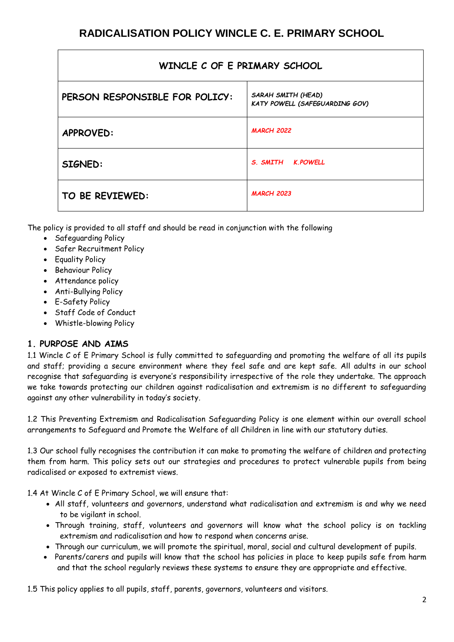| WINCLE C OF E PRIMARY SCHOOL   |                                                      |  |  |  |
|--------------------------------|------------------------------------------------------|--|--|--|
| PERSON RESPONSIBLE FOR POLICY: | SARAH SMITH (HEAD)<br>KATY POWELL (SAFEGUARDING GOV) |  |  |  |
| <b>APPROVED:</b>               | <b>MARCH 2022</b>                                    |  |  |  |
| SIGNED:                        | S. SMITH K.POWELL                                    |  |  |  |
| TO BE REVIEWED:                | <b>MARCH 2023</b>                                    |  |  |  |

The policy is provided to all staff and should be read in conjunction with the following

- Safeguarding Policy
- Safer Recruitment Policy
- Equality Policy
- Behaviour Policy
- Attendance policy
- Anti-Bullying Policy
- E-Safety Policy
- Staff Code of Conduct
- Whistle-blowing Policy

## **1. PURPOSE AND AIMS**

1.1 Wincle C of E Primary School is fully committed to safeguarding and promoting the welfare of all its pupils and staff; providing a secure environment where they feel safe and are kept safe. All adults in our school recognise that safeguarding is everyone's responsibility irrespective of the role they undertake. The approach we take towards protecting our children against radicalisation and extremism is no different to safeguarding against any other vulnerability in today's society*.*

1.2 This Preventing Extremism and Radicalisation Safeguarding Policy is one element within our overall school arrangements to Safeguard and Promote the Welfare of all Children in line with our statutory duties.

1.3 Our school fully recognises the contribution it can make to promoting the welfare of children and protecting them from harm. This policy sets out our strategies and procedures to protect vulnerable pupils from being radicalised or exposed to extremist views.

1.4 At Wincle C of E Primary School, we will ensure that:

- All staff, volunteers and governors, understand what radicalisation and extremism is and why we need to be vigilant in school.
- Through training, staff, volunteers and governors will know what the school policy is on tackling extremism and radicalisation and how to respond when concerns arise.
- Through our curriculum, we will promote the spiritual, moral, social and cultural development of pupils.
- Parents/carers and pupils will know that the school has policies in place to keep pupils safe from harm and that the school regularly reviews these systems to ensure they are appropriate and effective.

1.5 This policy applies to all pupils, staff, parents, governors, volunteers and visitors.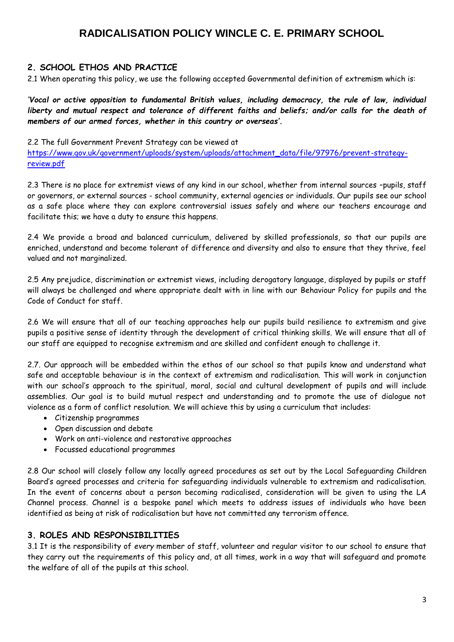### **2. SCHOOL ETHOS AND PRACTICE**

2.1 When operating this policy, we use the following accepted Governmental definition of extremism which is:

*'Vocal or active opposition to fundamental British values, including democracy, the rule of law, individual liberty and mutual respect and tolerance of different faiths and beliefs; and/or calls for the death of members of our armed forces, whether in this country or overseas'.*

#### 2.2 The full Government Prevent Strategy can be viewed at

[https://www.gov.uk/government/uploads/system/uploads/attachment\\_data/file/97976/prevent-strategy](https://www.gov.uk/government/uploads/system/uploads/attachment_data/file/97976/prevent-strategy-review.pdf)[review.pdf](https://www.gov.uk/government/uploads/system/uploads/attachment_data/file/97976/prevent-strategy-review.pdf)

2.3 There is no place for extremist views of any kind in our school, whether from internal sources –pupils, staff or governors, or external sources - school community, external agencies or individuals. Our pupils see our school as a safe place where they can explore controversial issues safely and where our teachers encourage and facilitate this; we have a duty to ensure this happens.

2.4 We provide a broad and balanced curriculum, delivered by skilled professionals, so that our pupils are enriched, understand and become tolerant of difference and diversity and also to ensure that they thrive, feel valued and not marginalized.

2.5 Any prejudice, discrimination or extremist views, including derogatory language, displayed by pupils or staff will always be challenged and where appropriate dealt with in line with our Behaviour Policy for pupils and the Code of Conduct for staff.

2.6 We will ensure that all of our teaching approaches help our pupils build resilience to extremism and give pupils a positive sense of identity through the development of critical thinking skills. We will ensure that all of our staff are equipped to recognise extremism and are skilled and confident enough to challenge it.

2.7. Our approach will be embedded within the ethos of our school so that pupils know and understand what safe and acceptable behaviour is in the context of extremism and radicalisation. This will work in conjunction with our school's approach to the spiritual, moral, social and cultural development of pupils and will include assemblies. Our goal is to build mutual respect and understanding and to promote the use of dialogue not violence as a form of conflict resolution. We will achieve this by using a curriculum that includes:

- Citizenship programmes
- Open discussion and debate
- Work on anti-violence and restorative approaches
- Focussed educational programmes

2.8 Our school will closely follow any locally agreed procedures as set out by the Local Safeguarding Children Board's agreed processes and criteria for safeguarding individuals vulnerable to extremism and radicalisation. In the event of concerns about a person becoming radicalised, consideration will be given to using the LA Channel process. Channel is a bespoke panel which meets to address issues of individuals who have been identified as being at risk of radicalisation but have not committed any terrorism offence.

### **3. ROLES AND RESPONSIBILITIES**

3.1 It is the responsibility of *every* member of staff, volunteer and regular visitor to our school to ensure that they carry out the requirements of this policy and, at all times, work in a way that will safeguard and promote the welfare of all of the pupils at this school.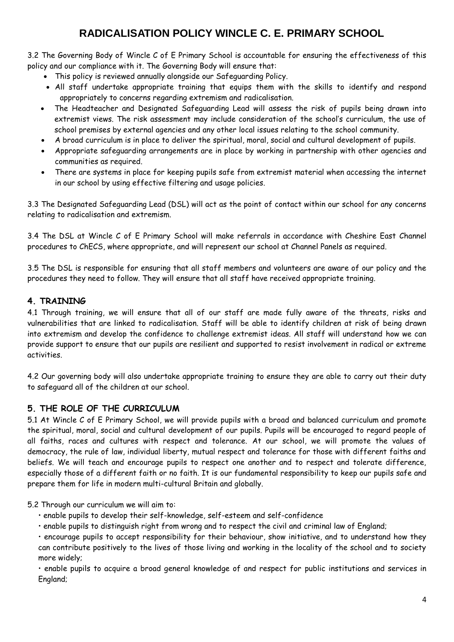3.2 The Governing Body of Wincle C of E Primary School is accountable for ensuring the effectiveness of this policy and our compliance with it. The Governing Body will ensure that:

- This policy is reviewed annually alongside our Safeguarding Policy.
- All staff undertake appropriate training that equips them with the skills to identify and respond appropriately to concerns regarding extremism and radicalisation.
- The Headteacher and Designated Safeguarding Lead will assess the risk of pupils being drawn into extremist views. The risk assessment may include consideration of the school's curriculum, the use of school premises by external agencies and any other local issues relating to the school community.
- A broad curriculum is in place to deliver the spiritual, moral, social and cultural development of pupils.
- Appropriate safeguarding arrangements are in place by working in partnership with other agencies and communities as required.
- There are systems in place for keeping pupils safe from extremist material when accessing the internet in our school by using effective filtering and usage policies.

3.3 The Designated Safeguarding Lead (DSL) will act as the point of contact within our school for any concerns relating to radicalisation and extremism.

3.4 The DSL at Wincle C of E Primary School will make referrals in accordance with Cheshire East Channel procedures to ChECS, where appropriate, and will represent our school at Channel Panels as required.

3.5 The DSL is responsible for ensuring that all staff members and volunteers are aware of our policy and the procedures they need to follow. They will ensure that all staff have received appropriate training.

### **4. TRAINING**

4.1 Through training, we will ensure that all of our staff are made fully aware of the threats, risks and vulnerabilities that are linked to radicalisation. Staff will be able to identify children at risk of being drawn into extremism and develop the confidence to challenge extremist ideas. All staff will understand how we can provide support to ensure that our pupils are resilient and supported to resist involvement in radical or extreme activities.

4.2 Our governing body will also undertake appropriate training to ensure they are able to carry out their duty to safeguard all of the children at our school.

### **5. THE ROLE OF THE CURRICULUM**

5.1 At Wincle C of E Primary School, we will provide pupils with a broad and balanced curriculum and promote the spiritual, moral, social and cultural development of our pupils. Pupils will be encouraged to regard people of all faiths, races and cultures with respect and tolerance. At our school, we will promote the values of democracy, the rule of law, individual liberty, mutual respect and tolerance for those with different faiths and beliefs. We will teach and encourage pupils to respect one another and to respect and tolerate difference, especially those of a different faith or no faith. It is our fundamental responsibility to keep our pupils safe and prepare them for life in modern multi-cultural Britain and globally.

5.2 Through our curriculum we will aim to:

- enable pupils to develop their self-knowledge, self-esteem and self-confidence
- enable pupils to distinguish right from wrong and to respect the civil and criminal law of England;

• encourage pupils to accept responsibility for their behaviour, show initiative, and to understand how they can contribute positively to the lives of those living and working in the locality of the school and to society more widely;

• enable pupils to acquire a broad general knowledge of and respect for public institutions and services in England;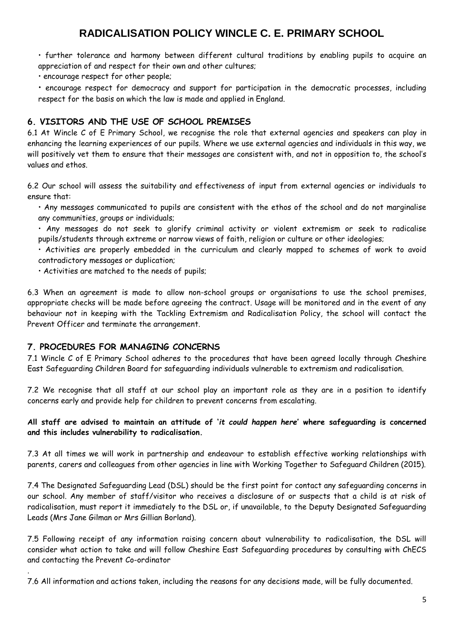• further tolerance and harmony between different cultural traditions by enabling pupils to acquire an appreciation of and respect for their own and other cultures;

• encourage respect for other people;

• encourage respect for democracy and support for participation in the democratic processes, including respect for the basis on which the law is made and applied in England.

### **6. VISITORS AND THE USE OF SCHOOL PREMISES**

6.1 At Wincle C of E Primary School, we recognise the role that external agencies and speakers can play in enhancing the learning experiences of our pupils. Where we use external agencies and individuals in this way, we will positively vet them to ensure that their messages are consistent with, and not in opposition to, the school's values and ethos.

6.2 Our school will assess the suitability and effectiveness of input from external agencies or individuals to ensure that:

• Any messages communicated to pupils are consistent with the ethos of the school and do not marginalise any communities, groups or individuals;

• Any messages do not seek to glorify criminal activity or violent extremism or seek to radicalise pupils/students through extreme or narrow views of faith, religion or culture or other ideologies;

• Activities are properly embedded in the curriculum and clearly mapped to schemes of work to avoid contradictory messages or duplication;

• Activities are matched to the needs of pupils;

6.3 When an agreement is made to allow non-school groups or organisations to use the school premises, appropriate checks will be made before agreeing the contract. Usage will be monitored and in the event of any behaviour not in keeping with the Tackling Extremism and Radicalisation Policy, the school will contact the Prevent Officer and terminate the arrangement.

#### **7. PROCEDURES FOR MANAGING CONCERNS**

.

7.1 Wincle C of E Primary School adheres to the procedures that have been agreed locally through Cheshire East Safeguarding Children Board for safeguarding individuals vulnerable to extremism and radicalisation.

7.2 We recognise that all staff at our school play an important role as they are in a position to identify concerns early and provide help for children to prevent concerns from escalating.

#### **All staff are advised to maintain an attitude of '***it could happen here***' where safeguarding is concerned and this includes vulnerability to radicalisation.**

7.3 At all times we will work in partnership and endeavour to establish effective working relationships with parents, carers and colleagues from other agencies in line with Working Together to Safeguard Children (2015).

7.4 The Designated Safeguarding Lead (DSL) should be the first point for contact any safeguarding concerns in our school. Any member of staff/visitor who receives a disclosure of or suspects that a child is at risk of radicalisation, must report it immediately to the DSL or, if unavailable, to the Deputy Designated Safeguarding Leads (Mrs Jane Gilman or Mrs Gillian Borland).

7.5 Following receipt of any information raising concern about vulnerability to radicalisation, the DSL will consider what action to take and will follow Cheshire East Safeguarding procedures by consulting with ChECS and contacting the Prevent Co-ordinator

7.6 All information and actions taken, including the reasons for any decisions made, will be fully documented.